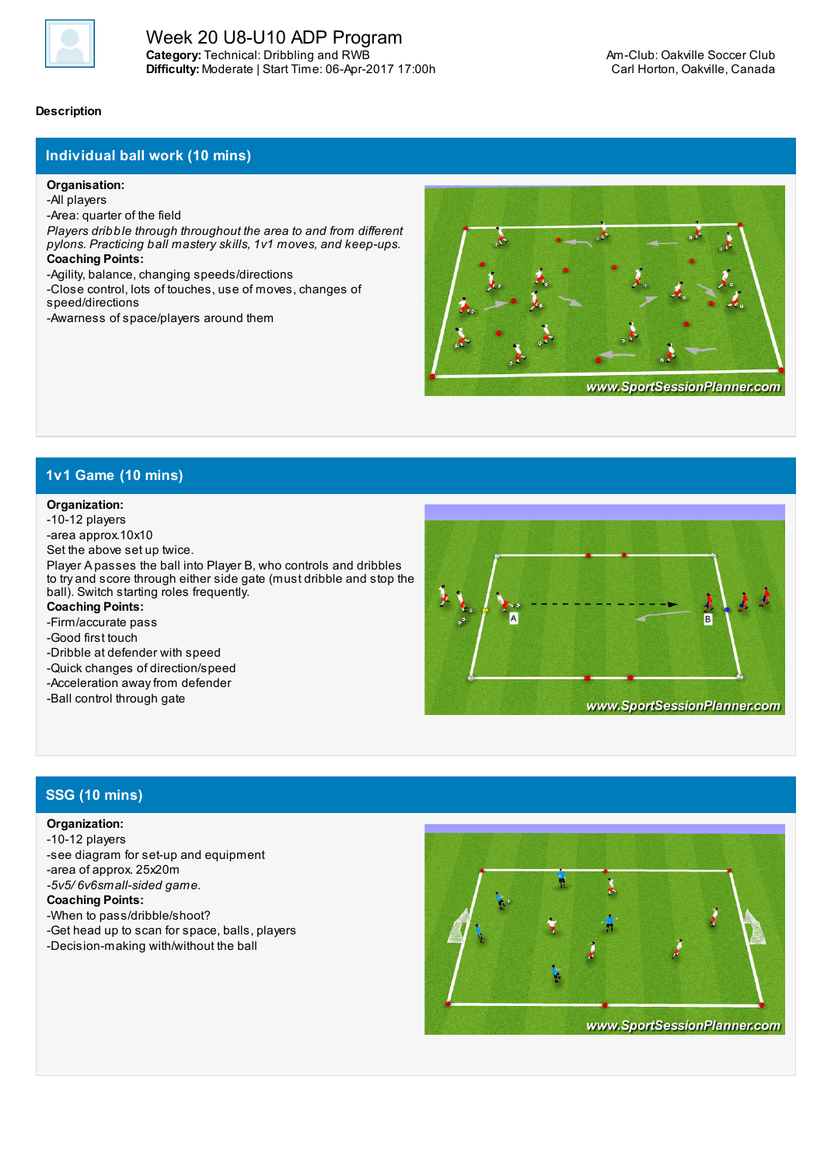

### **Description**

## **Individual ball work (10 mins)**

#### **Organisation:**

-All players

-Area: quarter of the field

*Players dribble through throughout the area to and from different pylons. Practicing ball mastery skills, 1v1 moves, and keep-ups.* **Coaching Points:**

-Agility, balance, changing speeds/directions

-Close control, lots of touches, use of moves, changes of speed/directions

-Awarness of space/players around them



## **1v1 Game (10 mins)**

#### **Organization:**

-10-12 players

-area approx.10x10

Set the above set up twice.

Player A passes the ball into Player B, who controls and dribbles to try and score through either side gate (must dribble and stop the ball). Switch starting roles frequently.

**Coaching Points:**

-Firm/accurate pass

-Good first touch

-Dribble at defender with speed

-Quick changes of direction/speed

-Acceleration away from defender

-Ball control through gate



# **SSG (10 mins)**

### **Organization:**

-10-12 players -see diagram for set-up and equipment -area of approx. 25x20m *-5v5/ 6v6small-sided game.*

**Coaching Points:**

-When to pass/dribble/shoot?

-Get head up to scan for space, balls, players -Decision-making with/without the ball